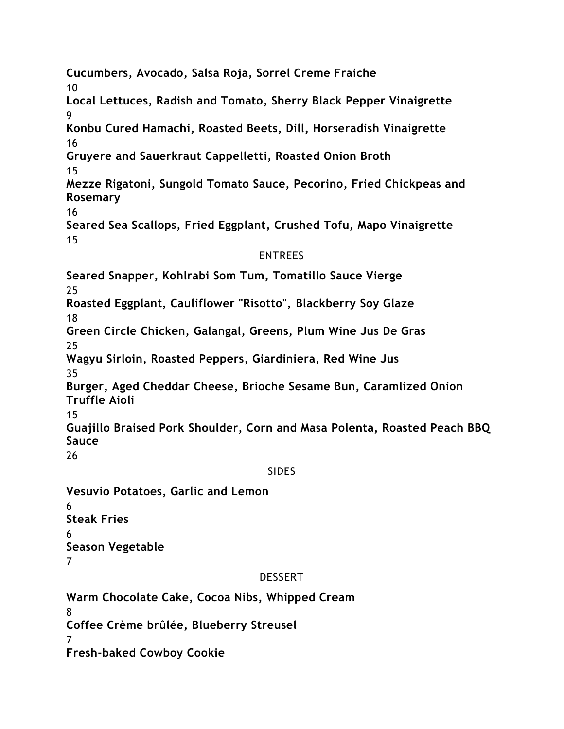**Cucumbers, Avocado, Salsa Roja, Sorrel Creme Fraiche** 10 **Local Lettuces, Radish and Tomato, Sherry Black Pepper Vinaigrette** 9 **Konbu Cured Hamachi, Roasted Beets, Dill, Horseradish Vinaigrette** 16 **Gruyere and Sauerkraut Cappelletti, Roasted Onion Broth** 15 **Mezze Rigatoni, Sungold Tomato Sauce, Pecorino, Fried Chickpeas and Rosemary** 16 **Seared Sea Scallops, Fried Eggplant, Crushed Tofu, Mapo Vinaigrette** 15

#### ENTREES

**Seared Snapper, Kohlrabi Som Tum, Tomatillo Sauce Vierge** 25 **Roasted Eggplant, Cauliflower "Risotto", Blackberry Soy Glaze** 18 **Green Circle Chicken, Galangal, Greens, Plum Wine Jus De Gras** 25 **Wagyu Sirloin, Roasted Peppers, Giardiniera, Red Wine Jus** 35 **Burger, Aged Cheddar Cheese, Brioche Sesame Bun, Caramlized Onion Truffle Aioli** 15 **Guajillo Braised Pork Shoulder, Corn and Masa Polenta, Roasted Peach BBQ Sauce** 26

#### SIDES

**Vesuvio Potatoes, Garlic and Lemon** 6 **Steak Fries** 6 **Season Vegetable** 7

#### DESSERT

**Warm Chocolate Cake, Cocoa Nibs, Whipped Cream** 8 **Coffee Crème brûlée, Blueberry Streusel** 7 **Fresh-baked Cowboy Cookie**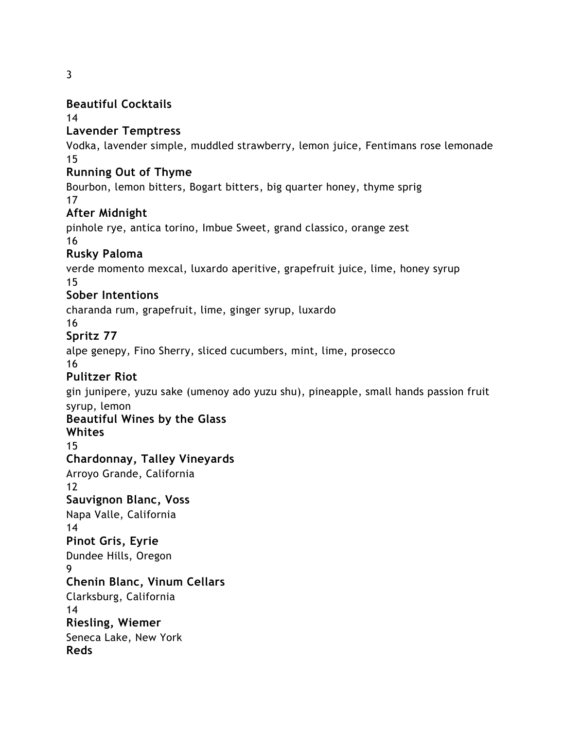3

#### **Beautiful Cocktails**

14

#### **Lavender Temptress**

Vodka, lavender simple, muddled strawberry, lemon juice, Fentimans rose lemonade 15

#### **Running Out of Thyme**

Bourbon, lemon bitters, Bogart bitters, big quarter honey, thyme sprig 17

### **After Midnight**

pinhole rye, antica torino, Imbue Sweet, grand classico, orange zest 16

### **Rusky Paloma**

verde momento mexcal, luxardo aperitive, grapefruit juice, lime, honey syrup 15

### **Sober Intentions**

charanda rum, grapefruit, lime, ginger syrup, luxardo

16

## **Spritz 77**

alpe genepy, Fino Sherry, sliced cucumbers, mint, lime, prosecco

16

## **Pulitzer Riot**

gin junipere, yuzu sake (umenoy ado yuzu shu), pineapple, small hands passion fruit syrup, lemon

# **Beautiful Wines by the Glass**

**Whites**

## 15

### **Chardonnay, Talley Vineyards**

Arroyo Grande, California 12

# **Sauvignon Blanc, Voss**

Napa Valle, California 14

# **Pinot Gris, Eyrie**

Dundee Hills, Oregon

9

### **Chenin Blanc, Vinum Cellars**

Clarksburg, California 14

# **Riesling, Wiemer**

Seneca Lake, New York

**Reds**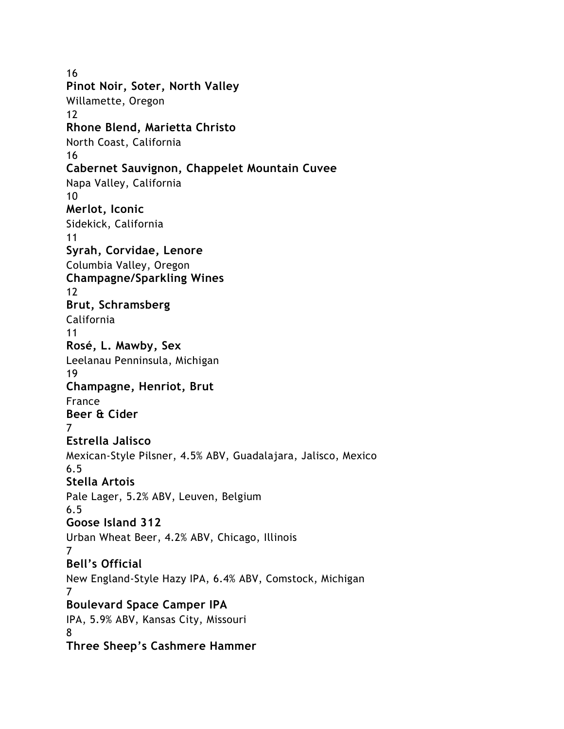16 **Pinot Noir, Soter, North Valley** Willamette, Oregon 12 **Rhone Blend, Marietta Christo** North Coast, California 16 **Cabernet Sauvignon, Chappelet Mountain Cuvee** Napa Valley, California 10 **Merlot, Iconic** Sidekick, California 11 **Syrah, Corvidae, Lenore** Columbia Valley, Oregon **Champagne/Sparkling Wines** 12 **Brut, Schramsberg** California 11 **Rosé, L. Mawby, Sex** Leelanau Penninsula, Michigan 19 **Champagne, Henriot, Brut** France **Beer & Cider** 7 **Estrella Jalisco** Mexican-Style Pilsner, 4.5% ABV, Guadalajara, Jalisco, Mexico 6.5 **Stella Artois** Pale Lager, 5.2% ABV, Leuven, Belgium 6.5 **Goose Island 312** Urban Wheat Beer, 4.2% ABV, Chicago, Illinois 7 **Bell's Official** New England-Style Hazy IPA, 6.4% ABV, Comstock, Michigan 7 **Boulevard Space Camper IPA** IPA, 5.9% ABV, Kansas City, Missouri 8 **Three Sheep's Cashmere Hammer**